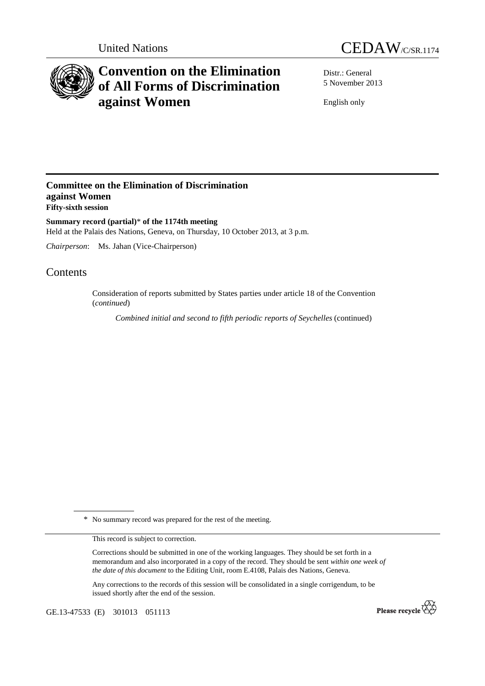



# **Convention on the Elimination of All Forms of Discrimination against Women**

Distr.: General 5 November 2013

English only

### **Committee on the Elimination of Discrimination against Women Fifty-sixth session**

**Summary record (partial)**\* **of the 1174th meeting**  Held at the Palais des Nations, Geneva, on Thursday, 10 October 2013, at 3 p.m.

*Chairperson*: Ms. Jahan (Vice-Chairperson)

## Contents

Consideration of reports submitted by States parties under article 18 of the Convention (*continued*)

 *Combined initial and second to fifth periodic reports of Seychelles* (continued)

\* No summary record was prepared for the rest of the meeting.

This record is subject to correction.

Corrections should be submitted in one of the working languages. They should be set forth in a memorandum and also incorporated in a copy of the record. They should be sent *within one week of the date of this document* to the Editing Unit, room E.4108, Palais des Nations, Geneva.

Any corrections to the records of this session will be consolidated in a single corrigendum, to be issued shortly after the end of the session.

GE.13-47533 (E) 301013 051113

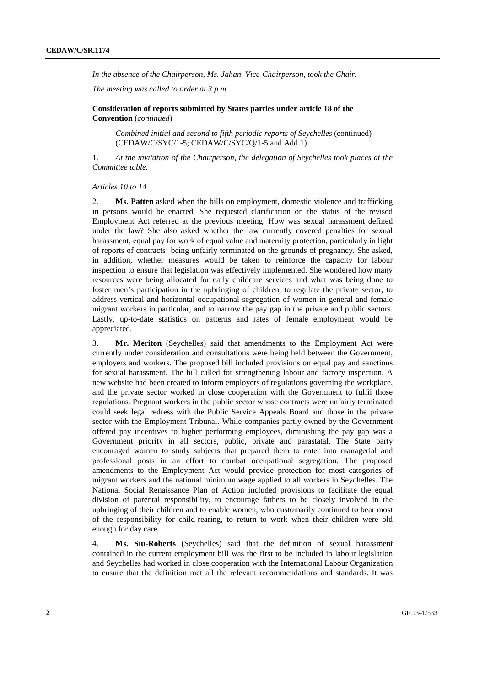*In the absence of the Chairperson, Ms. Jahan, Vice-Chairperson, took the Chair.* 

*The meeting was called to order at 3 p.m.* 

 **Consideration of reports submitted by States parties under article 18 of the Convention** (*continued*)

*Combined initial and second to fifth periodic reports of Seychelles* (continued) (CEDAW/C/SYC/1-5; CEDAW/C/SYC/Q/1-5 and Add.1)

1. *At the invitation of the Chairperson, the delegation of Seychelles took places at the Committee table.*

#### *Articles 10 to 14*

2. **Ms. Patten** asked when the bills on employment, domestic violence and trafficking in persons would be enacted. She requested clarification on the status of the revised Employment Act referred at the previous meeting. How was sexual harassment defined under the law? She also asked whether the law currently covered penalties for sexual harassment, equal pay for work of equal value and maternity protection, particularly in light of reports of contracts' being unfairly terminated on the grounds of pregnancy. She asked, in addition, whether measures would be taken to reinforce the capacity for labour inspection to ensure that legislation was effectively implemented. She wondered how many resources were being allocated for early childcare services and what was being done to foster men's participation in the upbringing of children, to regulate the private sector, to address vertical and horizontal occupational segregation of women in general and female migrant workers in particular, and to narrow the pay gap in the private and public sectors. Lastly, up-to-date statistics on patterns and rates of female employment would be appreciated.

3. **Mr. Meriton** (Seychelles) said that amendments to the Employment Act were currently under consideration and consultations were being held between the Government, employers and workers. The proposed bill included provisions on equal pay and sanctions for sexual harassment. The bill called for strengthening labour and factory inspection. A new website had been created to inform employers of regulations governing the workplace, and the private sector worked in close cooperation with the Government to fulfil those regulations. Pregnant workers in the public sector whose contracts were unfairly terminated could seek legal redress with the Public Service Appeals Board and those in the private sector with the Employment Tribunal. While companies partly owned by the Government offered pay incentives to higher performing employees, diminishing the pay gap was a Government priority in all sectors, public, private and parastatal. The State party encouraged women to study subjects that prepared them to enter into managerial and professional posts in an effort to combat occupational segregation. The proposed amendments to the Employment Act would provide protection for most categories of migrant workers and the national minimum wage applied to all workers in Seychelles. The National Social Renaissance Plan of Action included provisions to facilitate the equal division of parental responsibility, to encourage fathers to be closely involved in the upbringing of their children and to enable women, who customarily continued to bear most of the responsibility for child-rearing, to return to work when their children were old enough for day care.

4. **Ms. Siu-Roberts** (Seychelles) said that the definition of sexual harassment contained in the current employment bill was the first to be included in labour legislation and Seychelles had worked in close cooperation with the International Labour Organization to ensure that the definition met all the relevant recommendations and standards. It was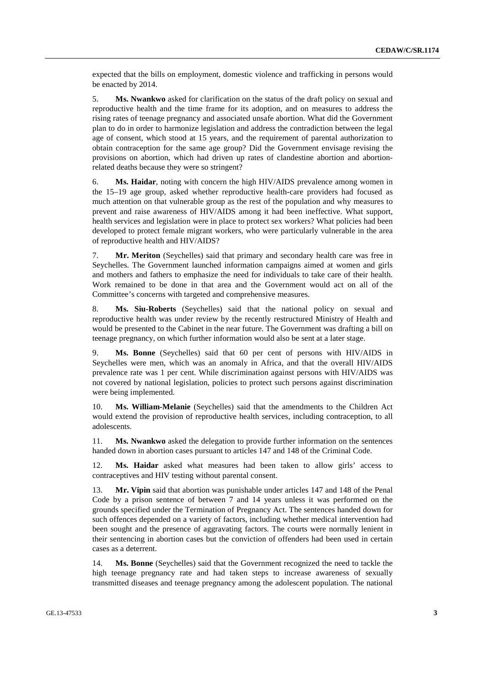expected that the bills on employment, domestic violence and trafficking in persons would be enacted by 2014.

5. **Ms. Nwankwo** asked for clarification on the status of the draft policy on sexual and reproductive health and the time frame for its adoption, and on measures to address the rising rates of teenage pregnancy and associated unsafe abortion. What did the Government plan to do in order to harmonize legislation and address the contradiction between the legal age of consent, which stood at 15 years, and the requirement of parental authorization to obtain contraception for the same age group? Did the Government envisage revising the provisions on abortion, which had driven up rates of clandestine abortion and abortionrelated deaths because they were so stringent?

6. **Ms. Haidar**, noting with concern the high HIV/AIDS prevalence among women in the 15–19 age group, asked whether reproductive health-care providers had focused as much attention on that vulnerable group as the rest of the population and why measures to prevent and raise awareness of HIV/AIDS among it had been ineffective. What support, health services and legislation were in place to protect sex workers? What policies had been developed to protect female migrant workers, who were particularly vulnerable in the area of reproductive health and HIV/AIDS?

7. **Mr. Meriton** (Seychelles) said that primary and secondary health care was free in Seychelles. The Government launched information campaigns aimed at women and girls and mothers and fathers to emphasize the need for individuals to take care of their health. Work remained to be done in that area and the Government would act on all of the Committee's concerns with targeted and comprehensive measures.

8. **Ms. Siu-Roberts** (Seychelles) said that the national policy on sexual and reproductive health was under review by the recently restructured Ministry of Health and would be presented to the Cabinet in the near future. The Government was drafting a bill on teenage pregnancy, on which further information would also be sent at a later stage.

9. **Ms. Bonne** (Seychelles) said that 60 per cent of persons with HIV/AIDS in Seychelles were men, which was an anomaly in Africa, and that the overall HIV/AIDS prevalence rate was 1 per cent. While discrimination against persons with HIV/AIDS was not covered by national legislation, policies to protect such persons against discrimination were being implemented.

10. **Ms. William-Melanie** (Seychelles) said that the amendments to the Children Act would extend the provision of reproductive health services, including contraception, to all adolescents.

11. **Ms. Nwankwo** asked the delegation to provide further information on the sentences handed down in abortion cases pursuant to articles 147 and 148 of the Criminal Code.

12. **Ms. Haidar** asked what measures had been taken to allow girls' access to contraceptives and HIV testing without parental consent.

13. **Mr. Vipin** said that abortion was punishable under articles 147 and 148 of the Penal Code by a prison sentence of between 7 and 14 years unless it was performed on the grounds specified under the Termination of Pregnancy Act. The sentences handed down for such offences depended on a variety of factors, including whether medical intervention had been sought and the presence of aggravating factors. The courts were normally lenient in their sentencing in abortion cases but the conviction of offenders had been used in certain cases as a deterrent.

14. **Ms. Bonne** (Seychelles) said that the Government recognized the need to tackle the high teenage pregnancy rate and had taken steps to increase awareness of sexually transmitted diseases and teenage pregnancy among the adolescent population. The national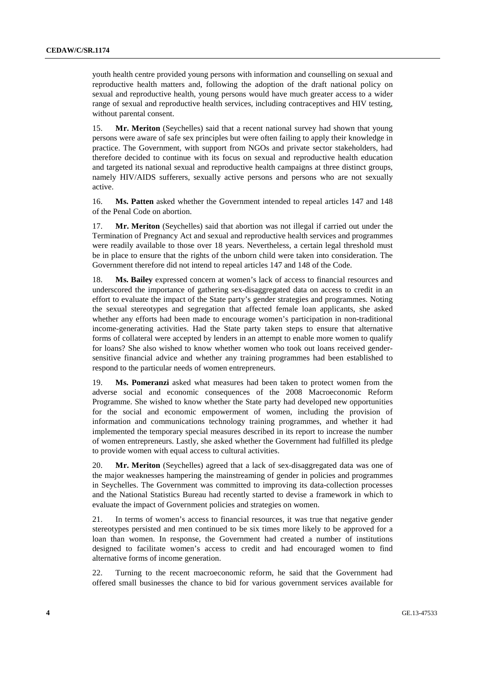youth health centre provided young persons with information and counselling on sexual and reproductive health matters and, following the adoption of the draft national policy on sexual and reproductive health, young persons would have much greater access to a wider range of sexual and reproductive health services, including contraceptives and HIV testing, without parental consent.

15. **Mr. Meriton** (Seychelles) said that a recent national survey had shown that young persons were aware of safe sex principles but were often failing to apply their knowledge in practice. The Government, with support from NGOs and private sector stakeholders, had therefore decided to continue with its focus on sexual and reproductive health education and targeted its national sexual and reproductive health campaigns at three distinct groups, namely HIV/AIDS sufferers, sexually active persons and persons who are not sexually active.

16. **Ms. Patten** asked whether the Government intended to repeal articles 147 and 148 of the Penal Code on abortion.

17. **Mr. Meriton** (Seychelles) said that abortion was not illegal if carried out under the Termination of Pregnancy Act and sexual and reproductive health services and programmes were readily available to those over 18 years. Nevertheless, a certain legal threshold must be in place to ensure that the rights of the unborn child were taken into consideration. The Government therefore did not intend to repeal articles 147 and 148 of the Code.

18. **Ms. Bailey** expressed concern at women's lack of access to financial resources and underscored the importance of gathering sex-disaggregated data on access to credit in an effort to evaluate the impact of the State party's gender strategies and programmes. Noting the sexual stereotypes and segregation that affected female loan applicants, she asked whether any efforts had been made to encourage women's participation in non-traditional income-generating activities. Had the State party taken steps to ensure that alternative forms of collateral were accepted by lenders in an attempt to enable more women to qualify for loans? She also wished to know whether women who took out loans received gendersensitive financial advice and whether any training programmes had been established to respond to the particular needs of women entrepreneurs.

19. **Ms. Pomeranzi** asked what measures had been taken to protect women from the adverse social and economic consequences of the 2008 Macroeconomic Reform Programme. She wished to know whether the State party had developed new opportunities for the social and economic empowerment of women, including the provision of information and communications technology training programmes, and whether it had implemented the temporary special measures described in its report to increase the number of women entrepreneurs. Lastly, she asked whether the Government had fulfilled its pledge to provide women with equal access to cultural activities.

20. **Mr. Meriton** (Seychelles) agreed that a lack of sex-disaggregated data was one of the major weaknesses hampering the mainstreaming of gender in policies and programmes in Seychelles. The Government was committed to improving its data-collection processes and the National Statistics Bureau had recently started to devise a framework in which to evaluate the impact of Government policies and strategies on women.

21. In terms of women's access to financial resources, it was true that negative gender stereotypes persisted and men continued to be six times more likely to be approved for a loan than women. In response, the Government had created a number of institutions designed to facilitate women's access to credit and had encouraged women to find alternative forms of income generation.

22. Turning to the recent macroeconomic reform, he said that the Government had offered small businesses the chance to bid for various government services available for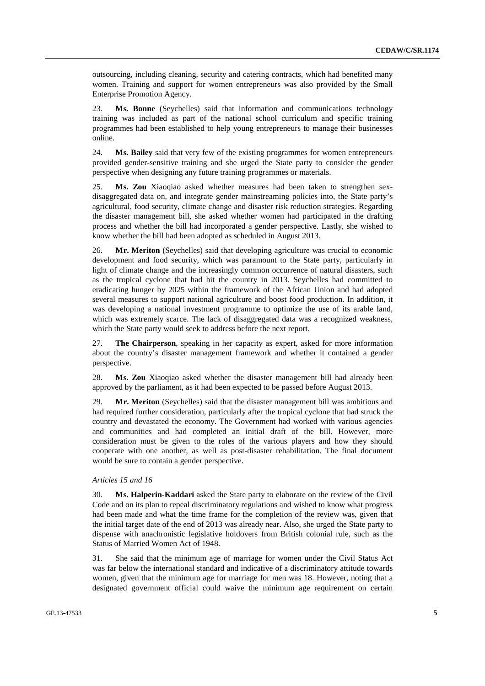outsourcing, including cleaning, security and catering contracts, which had benefited many women. Training and support for women entrepreneurs was also provided by the Small Enterprise Promotion Agency.

23. **Ms. Bonne** (Seychelles) said that information and communications technology training was included as part of the national school curriculum and specific training programmes had been established to help young entrepreneurs to manage their businesses online.

24. **Ms. Bailey** said that very few of the existing programmes for women entrepreneurs provided gender-sensitive training and she urged the State party to consider the gender perspective when designing any future training programmes or materials.

25. **Ms. Zou** Xiaoqiao asked whether measures had been taken to strengthen sexdisaggregated data on, and integrate gender mainstreaming policies into, the State party's agricultural, food security, climate change and disaster risk reduction strategies. Regarding the disaster management bill, she asked whether women had participated in the drafting process and whether the bill had incorporated a gender perspective. Lastly, she wished to know whether the bill had been adopted as scheduled in August 2013.

26. **Mr. Meriton** (Seychelles) said that developing agriculture was crucial to economic development and food security, which was paramount to the State party, particularly in light of climate change and the increasingly common occurrence of natural disasters, such as the tropical cyclone that had hit the country in 2013. Seychelles had committed to eradicating hunger by 2025 within the framework of the African Union and had adopted several measures to support national agriculture and boost food production. In addition, it was developing a national investment programme to optimize the use of its arable land, which was extremely scarce. The lack of disaggregated data was a recognized weakness, which the State party would seek to address before the next report.

27. **The Chairperson**, speaking in her capacity as expert, asked for more information about the country's disaster management framework and whether it contained a gender perspective.

28. **Ms. Zou** Xiaoqiao asked whether the disaster management bill had already been approved by the parliament, as it had been expected to be passed before August 2013.

29. **Mr. Meriton** (Seychelles) said that the disaster management bill was ambitious and had required further consideration, particularly after the tropical cyclone that had struck the country and devastated the economy. The Government had worked with various agencies and communities and had completed an initial draft of the bill. However, more consideration must be given to the roles of the various players and how they should cooperate with one another, as well as post-disaster rehabilitation. The final document would be sure to contain a gender perspective.

#### *Articles 15 and 16*

30. **Ms. Halperin-Kaddari** asked the State party to elaborate on the review of the Civil Code and on its plan to repeal discriminatory regulations and wished to know what progress had been made and what the time frame for the completion of the review was, given that the initial target date of the end of 2013 was already near. Also, she urged the State party to dispense with anachronistic legislative holdovers from British colonial rule, such as the Status of Married Women Act of 1948.

31. She said that the minimum age of marriage for women under the Civil Status Act was far below the international standard and indicative of a discriminatory attitude towards women, given that the minimum age for marriage for men was 18. However, noting that a designated government official could waive the minimum age requirement on certain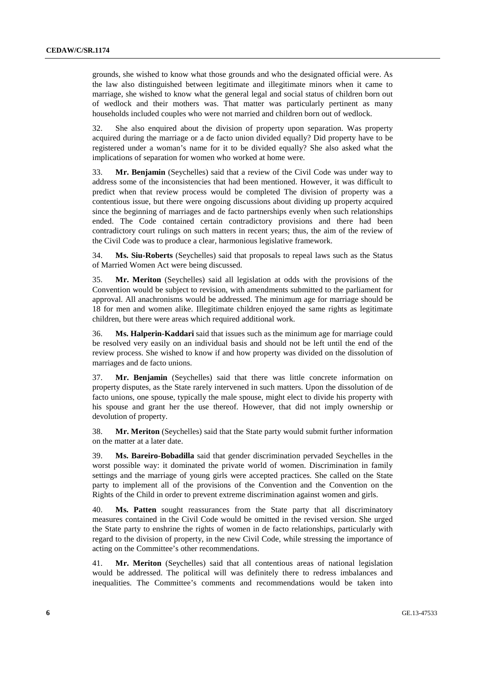grounds, she wished to know what those grounds and who the designated official were. As the law also distinguished between legitimate and illegitimate minors when it came to marriage, she wished to know what the general legal and social status of children born out of wedlock and their mothers was. That matter was particularly pertinent as many households included couples who were not married and children born out of wedlock.

32. She also enquired about the division of property upon separation. Was property acquired during the marriage or a de facto union divided equally? Did property have to be registered under a woman's name for it to be divided equally? She also asked what the implications of separation for women who worked at home were.

33. **Mr. Benjamin** (Seychelles) said that a review of the Civil Code was under way to address some of the inconsistencies that had been mentioned. However, it was difficult to predict when that review process would be completed The division of property was a contentious issue, but there were ongoing discussions about dividing up property acquired since the beginning of marriages and de facto partnerships evenly when such relationships ended. The Code contained certain contradictory provisions and there had been contradictory court rulings on such matters in recent years; thus, the aim of the review of the Civil Code was to produce a clear, harmonious legislative framework.

34. **Ms. Siu-Roberts** (Seychelles) said that proposals to repeal laws such as the Status of Married Women Act were being discussed.

35. **Mr. Meriton** (Seychelles) said all legislation at odds with the provisions of the Convention would be subject to revision, with amendments submitted to the parliament for approval. All anachronisms would be addressed. The minimum age for marriage should be 18 for men and women alike. Illegitimate children enjoyed the same rights as legitimate children, but there were areas which required additional work.

36. **Ms. Halperin-Kaddari** said that issues such as the minimum age for marriage could be resolved very easily on an individual basis and should not be left until the end of the review process. She wished to know if and how property was divided on the dissolution of marriages and de facto unions.

37. **Mr. Benjamin** (Seychelles) said that there was little concrete information on property disputes, as the State rarely intervened in such matters. Upon the dissolution of de facto unions, one spouse, typically the male spouse, might elect to divide his property with his spouse and grant her the use thereof. However, that did not imply ownership or devolution of property.

38. **Mr. Meriton** (Seychelles) said that the State party would submit further information on the matter at a later date.

39. **Ms. Bareiro-Bobadilla** said that gender discrimination pervaded Seychelles in the worst possible way: it dominated the private world of women. Discrimination in family settings and the marriage of young girls were accepted practices. She called on the State party to implement all of the provisions of the Convention and the Convention on the Rights of the Child in order to prevent extreme discrimination against women and girls.

40. **Ms. Patten** sought reassurances from the State party that all discriminatory measures contained in the Civil Code would be omitted in the revised version. She urged the State party to enshrine the rights of women in de facto relationships, particularly with regard to the division of property, in the new Civil Code, while stressing the importance of acting on the Committee's other recommendations.

41. **Mr. Meriton** (Seychelles) said that all contentious areas of national legislation would be addressed. The political will was definitely there to redress imbalances and inequalities. The Committee's comments and recommendations would be taken into